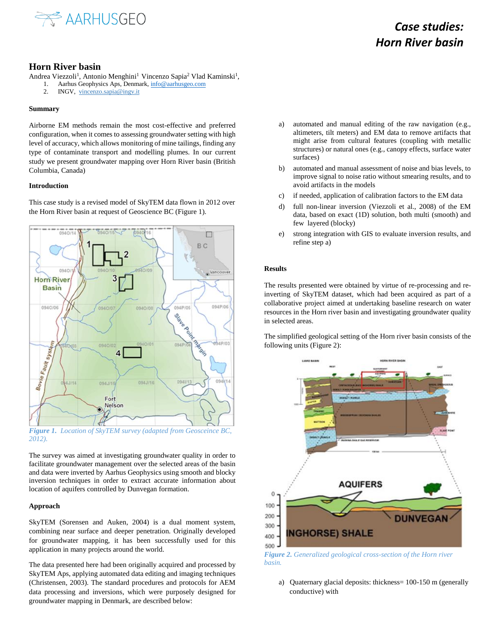

# *Case studies: Horn River basin*

## **Horn River basin**

Andrea Viezzoli<sup>1</sup>, Antonio Menghini<sup>1</sup> Vincenzo Sapia<sup>2</sup> Vlad Kaminski<sup>1</sup>,

- 1. Aarhus Geophysics Aps, Denmark[, info@aarhusgeo.com](mailto:info@aarhusgeo.com)
- 2. INGV, vincenzo.sapia@ingv.it

#### **Summary**

Airborne EM methods remain the most cost-effective and preferred configuration, when it comes to assessing groundwater setting with high level of accuracy, which allows monitoring of mine tailings, finding any type of contaminate transport and modelling plumes. In our current study we present groundwater mapping over Horn River basin (British Columbia, Canada)

### **Introduction**

This case study is a revised model of SkyTEM data flown in 2012 over the Horn River basin at request of Geoscience BC (Figure 1).



*Figure 1. Location of SkyTEM survey (adapted from Geosceince BC, 2012).*

The survey was aimed at investigating groundwater quality in order to facilitate groundwater management over the selected areas of the basin and data were inverted by Aarhus Geophysics using smooth and blocky inversion techniques in order to extract accurate information about location of aquifers controlled by Dunvegan formation.

### **Approach**

SkyTEM (Sorensen and Auken, 2004) is a dual moment system, combining near surface and deeper penetration. Originally developed for groundwater mapping, it has been successfully used for this application in many projects around the world.

The data presented here had been originally acquired and processed by SkyTEM Aps, applying automated data editing and imaging techniques (Christensen, 2003). The standard procedures and protocols for AEM data processing and inversions, which were purposely designed for groundwater mapping in Denmark, are described below:

- a) automated and manual editing of the raw navigation (e.g., altimeters, tilt meters) and EM data to remove artifacts that might arise from cultural features (coupling with metallic structures) or natural ones (e.g., canopy effects, surface water surfaces)
- b) automated and manual assessment of noise and bias levels, to improve signal to noise ratio without smearing results, and to avoid artifacts in the models
- c) if needed, application of calibration factors to the EM data
- d) full non-linear inversion (Viezzoli et al., 2008) of the EM data, based on exact (1D) solution, both multi (smooth) and few layered (blocky)
- e) strong integration with GIS to evaluate inversion results, and refine step a)

#### **Results**

The results presented were obtained by virtue of re-processing and reinverting of SkyTEM dataset, which had been acquired as part of a collaborative project aimed at undertaking baseline research on water resources in the Horn river basin and investigating groundwater quality in selected areas.

The simplified geological setting of the Horn river basin consists of the following units (Figure 2):



*Figure 2. Generalized geological cross-section of the Horn river basin.*

a) Quaternary glacial deposits: thickness= 100-150 m (generally conductive) with